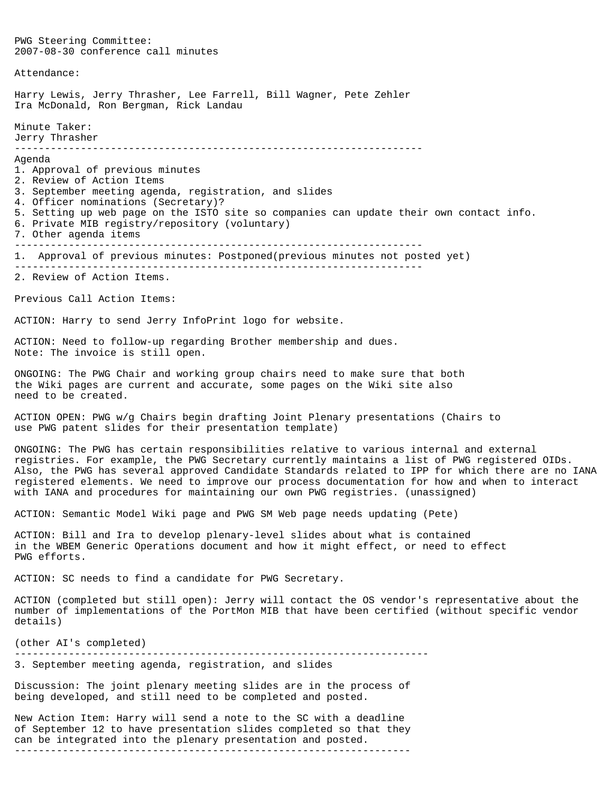PWG Steering Committee: 2007-08-30 conference call minutes Attendance: Harry Lewis, Jerry Thrasher, Lee Farrell, Bill Wagner, Pete Zehler Ira McDonald, Ron Bergman, Rick Landau Minute Taker: Jerry Thrasher -------------------------------------------------------------------- Agenda 1. Approval of previous minutes 2. Review of Action Items 3. September meeting agenda, registration, and slides 4. Officer nominations (Secretary)? 5. Setting up web page on the ISTO site so companies can update their own contact info. 6. Private MIB registry/repository (voluntary) 7. Other agenda items -------------------------------------------------------------------- 1. Approval of previous minutes: Postponed(previous minutes not posted yet) -------------------------------------------------------------------- 2. Review of Action Items. Previous Call Action Items: ACTION: Harry to send Jerry InfoPrint logo for website. ACTION: Need to follow-up regarding Brother membership and dues. Note: The invoice is still open. ONGOING: The PWG Chair and working group chairs need to make sure that both the Wiki pages are current and accurate, some pages on the Wiki site also need to be created. ACTION OPEN: PWG w/g Chairs begin drafting Joint Plenary presentations (Chairs to use PWG patent slides for their presentation template) ONGOING: The PWG has certain responsibilities relative to various internal and external registries. For example, the PWG Secretary currently maintains a list of PWG registered OIDs. Also, the PWG has several approved Candidate Standards related to IPP for which there are no IANA registered elements. We need to improve our process documentation for how and when to interact with IANA and procedures for maintaining our own PWG registries. (unassigned) ACTION: Semantic Model Wiki page and PWG SM Web page needs updating (Pete) ACTION: Bill and Ira to develop plenary-level slides about what is contained in the WBEM Generic Operations document and how it might effect, or need to effect PWG efforts. ACTION: SC needs to find a candidate for PWG Secretary. ACTION (completed but still open): Jerry will contact the OS vendor's representative about the number of implementations of the PortMon MIB that have been certified (without specific vendor details) (other AI's completed) --------------------------------------------------------------------- 3. September meeting agenda, registration, and slides Discussion: The joint plenary meeting slides are in the process of being developed, and still need to be completed and posted. New Action Item: Harry will send a note to the SC with a deadline of September 12 to have presentation slides completed so that they can be integrated into the plenary presentation and posted.

------------------------------------------------------------------